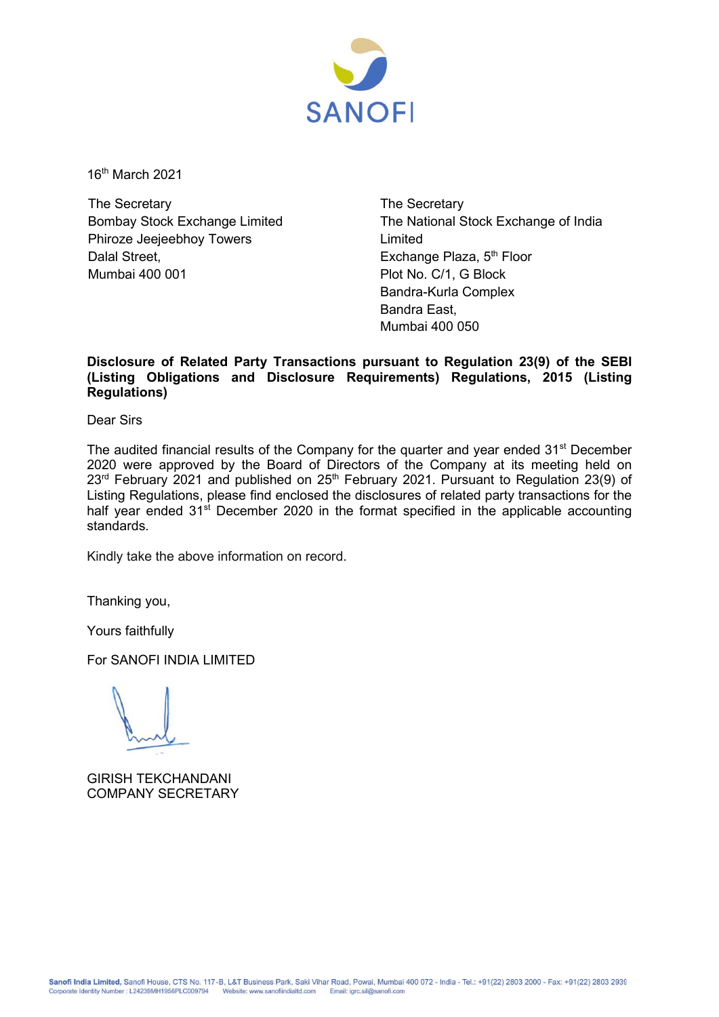

16th March 2021

The Secretary Bombay Stock Exchange Limited Phiroze Jeejeebhoy Towers Dalal Street, Mumbai 400 001

The Secretary The National Stock Exchange of India Limited Exchange Plaza, 5<sup>th</sup> Floor Plot No. C/1, G Block Bandra-Kurla Complex Bandra East, Mumbai 400 050

## **Disclosure of Related Party Transactions pursuant to Regulation 23(9) of the SEBI (Listing Obligations and Disclosure Requirements) Regulations, 2015 (Listing Regulations)**

Dear Sirs

The audited financial results of the Company for the quarter and year ended 31<sup>st</sup> December 2020 were approved by the Board of Directors of the Company at its meeting held on 23<sup>rd</sup> February 2021 and published on 25<sup>th</sup> February 2021. Pursuant to Regulation 23(9) of Listing Regulations, please find enclosed the disclosures of related party transactions for the half year ended 31<sup>st</sup> December 2020 in the format specified in the applicable accounting standards.

Kindly take the above information on record.

Thanking you,

Yours faithfully

For SANOFI INDIA LIMITED

GIRISH TEKCHANDANI COMPANY SECRETARY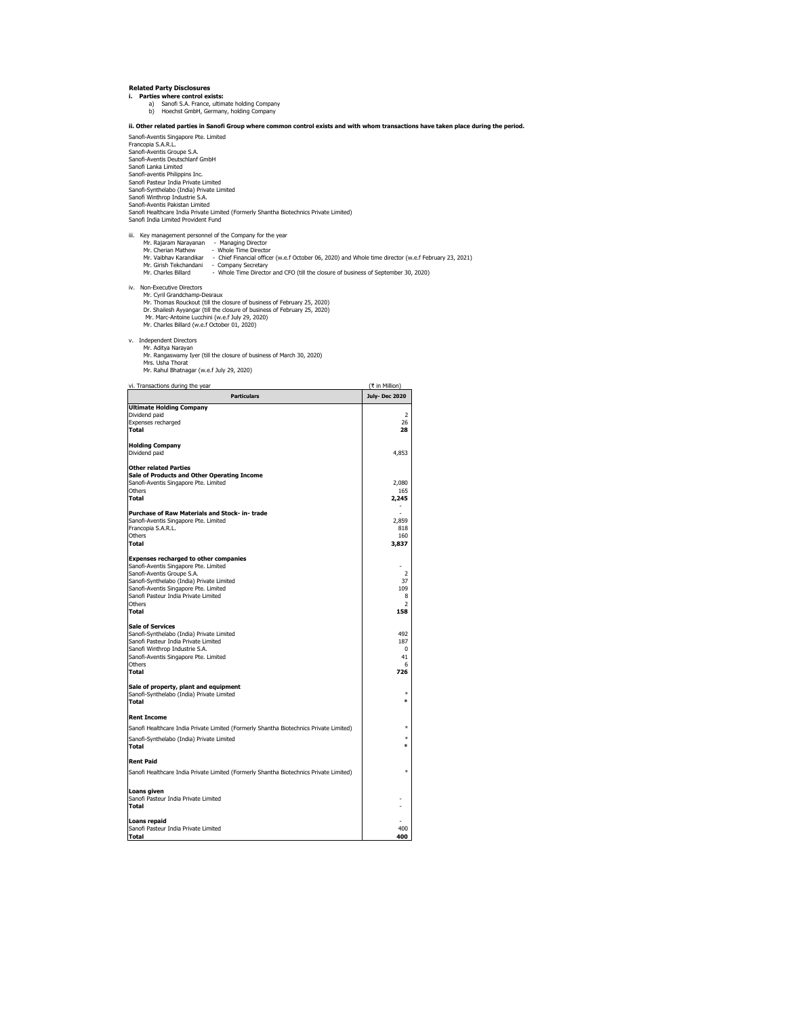- 
- **Related Party Disclosures<br>
i. Parties where control exists:<br>
a) Sanofi S.A. France, ultimate holding Company<br>
b) Hoechst GmbH, Germany, holding Company**

**ii. Other related parties in Sanofi Group where common control exists and with whom transactions have taken place during the period.** Sanofi-Aventis Singapore Pte. Limited

Francopia S.A.R.L. Sanofi-Aventis Groupe S.A. Sanofi-Aventis Deutschlanf GmbH Sanofi Lanka Limited Sanofi-aventis Philippins Inc.<br>Sanofi-aventis Philippins Inc.<br>Sanofi-Synthelabo (India) Private Limited<br>Sanofi-Winthrop Industrie S.A.<br>Sanofi-Aventis Pakistan Limited<br>Sanofi Healthcare India Private Limited (Formerly Shant

- iii. Key management personnel of the Company for the year Mr. Rajaram Narayanan Managing Director Mr. Cherian Mathew Whole Time Director
	-
- Mr. Vaibhav Karandikar Chief Financial officer (w.e.f October 06, 2020) and Whole time director (w.e.f February 23, 2021)
- Mr. Girish Tekchandani Company Secretary<br>Mr. Charles Billard Whole Time Director and CFO (till the closure of business of September 30, 2020)
- -
- iv. Non-Executive Directors<br>Mr. Cyril Grandchamp-Desraux<br>Mr. Thomas Rouckout (till the closure of business of February 25, 2020)<br>Dr. Shailesh Ayyangar (till the closure of business of February 25, 2020)<br>Mr. Marc-Antoine Lu
	-
- v. Independent Directors
- 
- Mr. Aditya Narayan Mr. Rangaswamy Iyer (till the closure of business of March 30, 2020)
- Mrs. Usha Thorat<br>Mr. Rahul Bhatnagar (w.e.f July 29, 2020)

## vi. Transactions during the year (₹ in Million)

| <b>Particulars</b>                                                                     | <b>July-Dec 2020</b> |
|----------------------------------------------------------------------------------------|----------------------|
| <b>Ultimate Holding Company</b>                                                        |                      |
| Dividend paid                                                                          | 2                    |
| Expenses recharged                                                                     | 26                   |
| Total                                                                                  | 28                   |
| <b>Holding Company</b>                                                                 |                      |
| Dividend paid                                                                          | 4,853                |
| <b>Other related Parties</b>                                                           |                      |
| Sale of Products and Other Operating Income                                            |                      |
| Sanofi-Aventis Singapore Pte. Limited                                                  | 2,080                |
| Others                                                                                 | 165                  |
| Total                                                                                  | 2,245                |
| Purchase of Raw Materials and Stock- in-trade                                          |                      |
| Sanofi-Aventis Singapore Pte. Limited                                                  | 2,859                |
| Francopia S.A.R.L.                                                                     | 818                  |
| Others<br>Total                                                                        | 160<br>3,837         |
|                                                                                        |                      |
| <b>Expenses recharged to other companies</b>                                           |                      |
| Sanofi-Aventis Singapore Pte. Limited                                                  | $\overline{2}$       |
| Sanofi-Aventis Groupe S.A.<br>Sanofi-Synthelabo (India) Private Limited                | 37                   |
| Sanofi-Aventis Singapore Pte. Limited                                                  | 109                  |
| Sanofi Pasteur India Private Limited                                                   | 8                    |
| Others                                                                                 | 2                    |
| <b>Total</b>                                                                           | 158                  |
| <b>Sale of Services</b>                                                                |                      |
| Sanofi-Synthelabo (India) Private Limited                                              | 492                  |
| Sanofi Pasteur India Private Limited                                                   | 187                  |
| Sanofi Winthrop Industrie S.A.                                                         | 0                    |
| Sanofi-Aventis Singapore Pte. Limited<br>Others                                        | 41<br>6              |
| <b>Total</b>                                                                           | 726                  |
|                                                                                        |                      |
| Sale of property, plant and equipment<br>Sanofi-Synthelabo (India) Private Limited     | $\ast$               |
| <b>Total</b>                                                                           | *                    |
|                                                                                        |                      |
| <b>Rent Income</b>                                                                     |                      |
| Sanofi Healthcare India Private Limited (Formerly Shantha Biotechnics Private Limited) | $\ast$               |
| Sanofi-Synthelabo (India) Private Limited<br>Total                                     | $\ast$<br>$\ast$     |
| <b>Rent Paid</b>                                                                       |                      |
| Sanofi Healthcare India Private Limited (Formerly Shantha Biotechnics Private Limited) | ×                    |
| Loans given                                                                            |                      |
| Sanofi Pasteur India Private Limited                                                   |                      |
| <b>Total</b>                                                                           |                      |
| Loans repaid                                                                           |                      |
| Sanofi Pasteur India Private Limited                                                   | 400                  |
| <b>Total</b>                                                                           | 400                  |